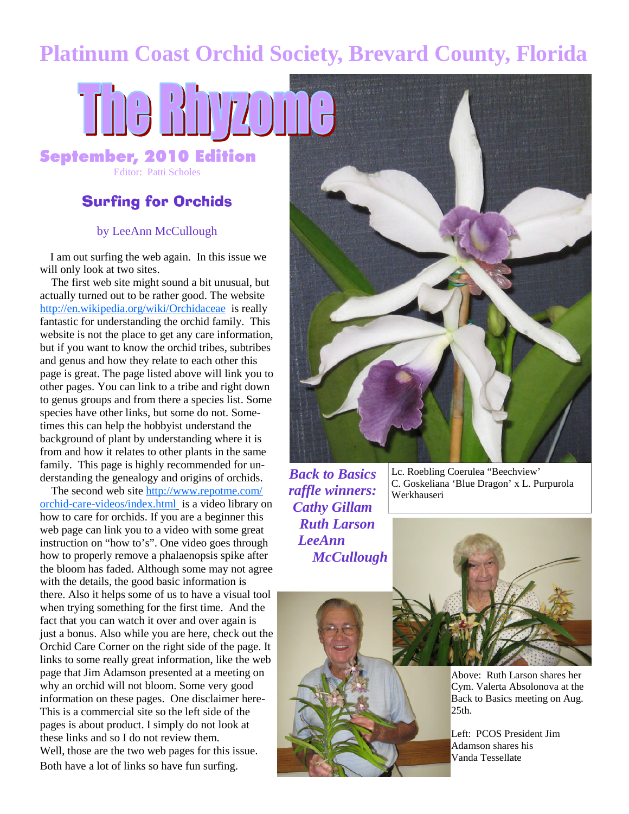# **Platinum Coast Orchid Society, Brevard County, Florida**

# THE RIDICI September, 2010 Edition

Editor: Patti Scholes

#### Surfing for Orchids

#### by LeeAnn McCullough

I am out surfing the web again. In this issue we will only look at two sites.

The first web site might sound a bit unusual, but actually turned out to be rather good. The website http://en.wikipedia.org/wiki/Orchidaceae is really fantastic for understanding the orchid family. This website is not the place to get any care information, but if you want to know the orchid tribes, subtribes and genus and how they relate to each other this page is great. The page listed above will link you to other pages. You can link to a tribe and right down to genus groups and from there a species list. Some species have other links, but some do not. Sometimes this can help the hobbyist understand the background of plant by understanding where it is from and how it relates to other plants in the same family. This page is highly recommended for understanding the genealogy and origins of orchids.

The second web site http://www.repotme.com/ orchid-care-videos/index.html is a video library on how to care for orchids. If you are a beginner this web page can link you to a video with some great instruction on "how to's". One video goes through how to properly remove a phalaenopsis spike after the bloom has faded. Although some may not agree with the details, the good basic information is there. Also it helps some of us to have a visual tool when trying something for the first time. And the fact that you can watch it over and over again is just a bonus. Also while you are here, check out the Orchid Care Corner on the right side of the page. It links to some really great information, like the web page that Jim Adamson presented at a meeting on why an orchid will not bloom. Some very good information on these pages. One disclaimer here-This is a commercial site so the left side of the pages is about product. I simply do not look at these links and so I do not review them. Well, those are the two web pages for this issue. Both have a lot of links so have fun surfing.



*Back to Basics raffle winners: Cathy Gillam Ruth Larson LeeAnn McCullough* Lc. Roebling Coerulea "Beechview' C. Goskeliana 'Blue Dragon' x L. Purpurola Werkhauseri



Above: Ruth Larson shares her Cym. Valerta Absolonova at the Back to Basics meeting on Aug.  $25<sub>th</sub>$ .

Left: PCOS President Jim Adamson shares his Vanda Tessellate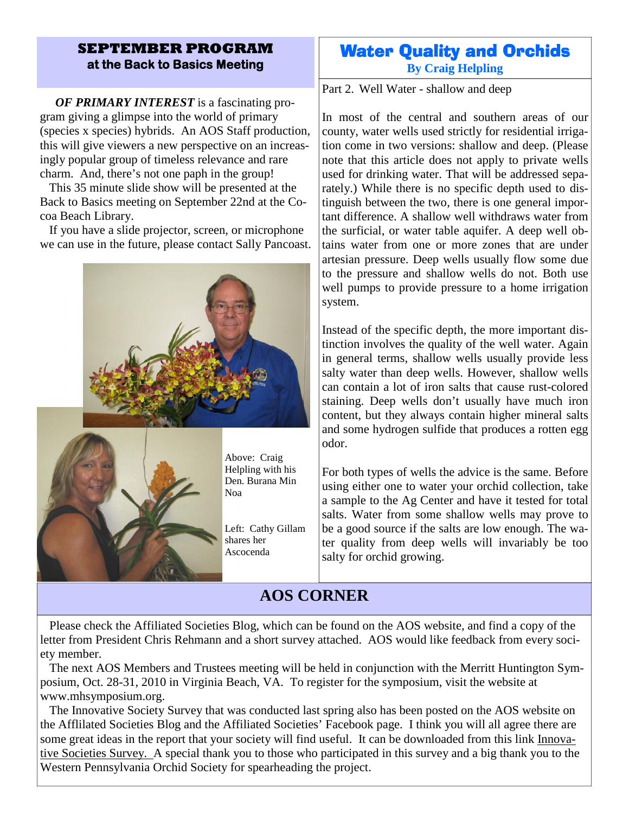#### **SEPTEMBER PROGRAM at the Back to Basics Meeting**

*OF PRIMARY INTEREST* is a fascinating program giving a glimpse into the world of primary (species x species) hybrids. An AOS Staff production, this will give viewers a new perspective on an increasingly popular group of timeless relevance and rare charm. And, there's not one paph in the group!

This 35 minute slide show will be presented at the Back to Basics meeting on September 22nd at the Cocoa Beach Library.

If you have a slide projector, screen, or microphone we can use in the future, please contact Sally Pancoast.



#### Water Quality and Orchids **By Craig Helpling**

Part 2. Well Water - shallow and deep

In most of the central and southern areas of our county, water wells used strictly for residential irrigation come in two versions: shallow and deep. (Please note that this article does not apply to private wells used for drinking water. That will be addressed separately.) While there is no specific depth used to distinguish between the two, there is one general important difference. A shallow well withdraws water from the surficial, or water table aquifer. A deep well obtains water from one or more zones that are under artesian pressure. Deep wells usually flow some due to the pressure and shallow wells do not. Both use well pumps to provide pressure to a home irrigation system.

Instead of the specific depth, the more important distinction involves the quality of the well water. Again in general terms, shallow wells usually provide less salty water than deep wells. However, shallow wells can contain a lot of iron salts that cause rust-colored staining. Deep wells don't usually have much iron content, but they always contain higher mineral salts and some hydrogen sulfide that produces a rotten egg odor.

For both types of wells the advice is the same. Before using either one to water your orchid collection, take a sample to the Ag Center and have it tested for total salts. Water from some shallow wells may prove to be a good source if the salts are low enough. The water quality from deep wells will invariably be too salty for orchid growing.

## **AOS CORNER**

Please check the Affiliated Societies Blog, which can be found on the AOS website, and find a copy of the letter from President Chris Rehmann and a short survey attached. AOS would like feedback from every society member.

The next AOS Members and Trustees meeting will be held in conjunction with the Merritt Huntington Symposium, Oct. 28-31, 2010 in Virginia Beach, VA. To register for the symposium, visit the website at www.mhsymposium.org.

The Innovative Society Survey that was conducted last spring also has been posted on the AOS website on the Afflilated Societies Blog and the Affiliated Societies' Facebook page. I think you will all agree there are some great ideas in the report that your society will find useful. It can be downloaded from this link Innovative Societies Survey. A special thank you to those who participated in this survey and a big thank you to the Western Pennsylvania Orchid Society for spearheading the project.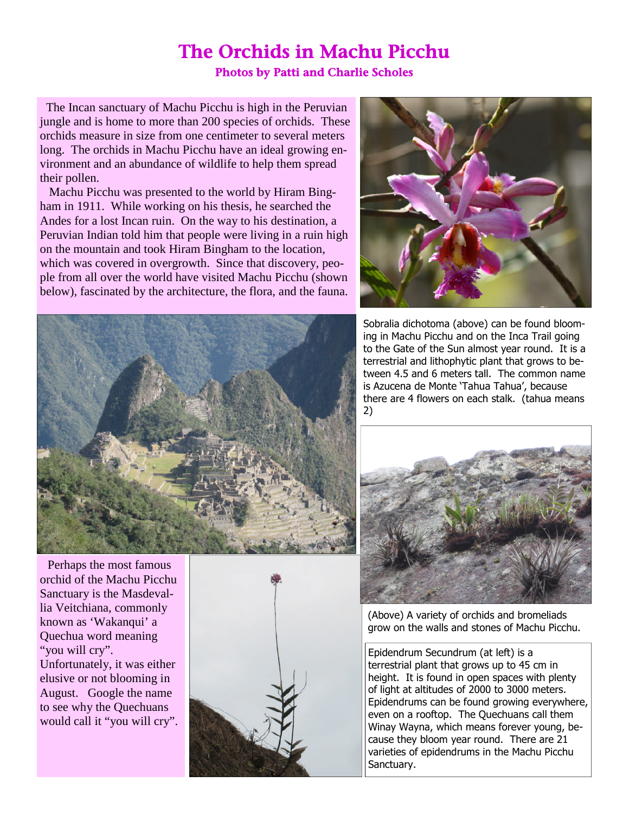### The Orchids in Machu Picchu Photos by Patti and Charlie Scholes

The Incan sanctuary of Machu Picchu is high in the Peruvian jungle and is home to more than 200 species of orchids. These orchids measure in size from one centimeter to several meters long. The orchids in Machu Picchu have an ideal growing environment and an abundance of wildlife to help them spread their pollen.

Machu Picchu was presented to the world by Hiram Bingham in 1911. While working on his thesis, he searched the Andes for a lost Incan ruin. On the way to his destination, a Peruvian Indian told him that people were living in a ruin high on the mountain and took Hiram Bingham to the location, which was covered in overgrowth. Since that discovery, people from all over the world have visited Machu Picchu (shown below), fascinated by the architecture, the flora, and the fauna.





Perhaps the most famous orchid of the Machu Picchu Sanctuary is the Masdevallia Veitchiana, commonly known as 'Wakanqui' a Quechua word meaning "you will cry". Unfortunately, it was either elusive or not blooming in August. Google the name to see why the Quechuans would call it "you will cry".



Sobralia dichotoma (above) can be found blooming in Machu Picchu and on the Inca Trail going to the Gate of the Sun almost year round. It is a terrestrial and lithophytic plant that grows to between 4.5 and 6 meters tall. The common name is Azucena de Monte 'Tahua Tahua', because there are 4 flowers on each stalk. (tahua means 2)



(Above) A variety of orchids and bromeliads grow on the walls and stones of Machu Picchu.

Epidendrum Secundrum (at left) is a terrestrial plant that grows up to 45 cm in height. It is found in open spaces with plenty of light at altitudes of 2000 to 3000 meters. Epidendrums can be found growing everywhere, even on a rooftop. The Quechuans call them Winay Wayna, which means forever young, because they bloom year round. There are 21 varieties of epidendrums in the Machu Picchu Sanctuary.